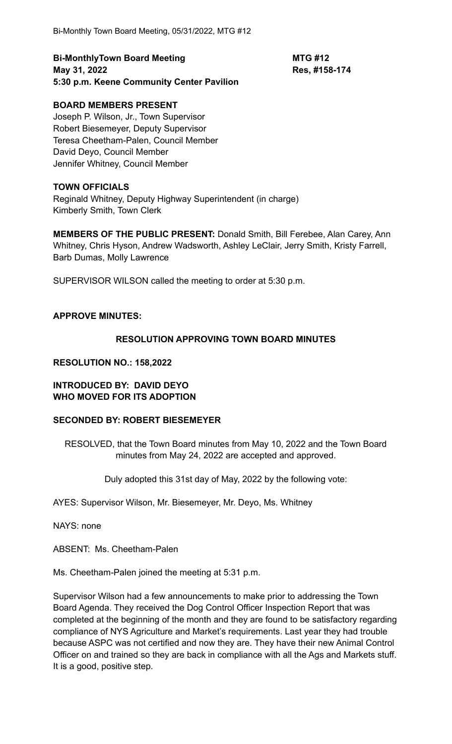**Bi-MonthlyTown Board Meeting MTG #12 May 31, 2022 Res, #158-174 5:30 p.m. Keene Community Center Pavilion**

# **BOARD MEMBERS PRESENT**

Joseph P. Wilson, Jr., Town Supervisor Robert Biesemeyer, Deputy Supervisor Teresa Cheetham-Palen, Council Member David Deyo, Council Member Jennifer Whitney, Council Member

### **TOWN OFFICIALS**

Reginald Whitney, Deputy Highway Superintendent (in charge) Kimberly Smith, Town Clerk

**MEMBERS OF THE PUBLIC PRESENT:** Donald Smith, Bill Ferebee, Alan Carey, Ann Whitney, Chris Hyson, Andrew Wadsworth, Ashley LeClair, Jerry Smith, Kristy Farrell, Barb Dumas, Molly Lawrence

SUPERVISOR WILSON called the meeting to order at 5:30 p.m.

#### **APPROVE MINUTES:**

### **RESOLUTION APPROVING TOWN BOARD MINUTES**

#### **RESOLUTION NO.: 158,2022**

### **INTRODUCED BY: DAVID DEYO WHO MOVED FOR ITS ADOPTION**

### **SECONDED BY: ROBERT BIESEMEYER**

RESOLVED, that the Town Board minutes from May 10, 2022 and the Town Board minutes from May 24, 2022 are accepted and approved.

Duly adopted this 31st day of May, 2022 by the following vote:

AYES: Supervisor Wilson, Mr. Biesemeyer, Mr. Deyo, Ms. Whitney

NAYS: none

ABSENT: Ms. Cheetham-Palen

Ms. Cheetham-Palen joined the meeting at 5:31 p.m.

Supervisor Wilson had a few announcements to make prior to addressing the Town Board Agenda. They received the Dog Control Officer Inspection Report that was completed at the beginning of the month and they are found to be satisfactory regarding compliance of NYS Agriculture and Market's requirements. Last year they had trouble because ASPC was not certified and now they are. They have their new Animal Control Officer on and trained so they are back in compliance with all the Ags and Markets stuff. It is a good, positive step.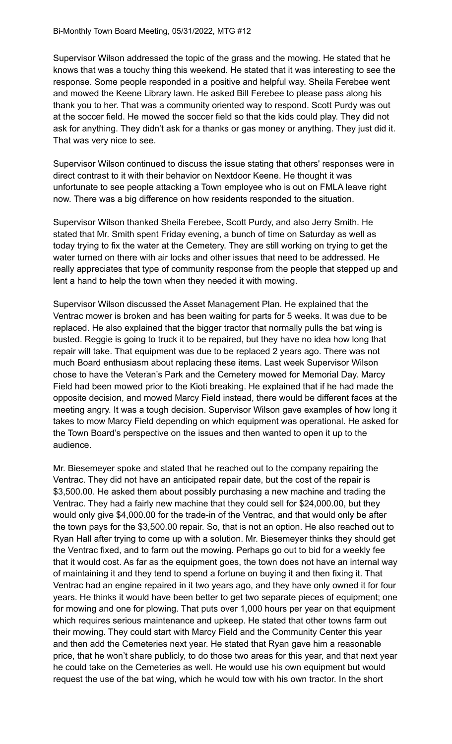Supervisor Wilson addressed the topic of the grass and the mowing. He stated that he knows that was a touchy thing this weekend. He stated that it was interesting to see the response. Some people responded in a positive and helpful way. Sheila Ferebee went and mowed the Keene Library lawn. He asked Bill Ferebee to please pass along his thank you to her. That was a community oriented way to respond. Scott Purdy was out at the soccer field. He mowed the soccer field so that the kids could play. They did not ask for anything. They didn't ask for a thanks or gas money or anything. They just did it. That was very nice to see.

Supervisor Wilson continued to discuss the issue stating that others' responses were in direct contrast to it with their behavior on Nextdoor Keene. He thought it was unfortunate to see people attacking a Town employee who is out on FMLA leave right now. There was a big difference on how residents responded to the situation.

Supervisor Wilson thanked Sheila Ferebee, Scott Purdy, and also Jerry Smith. He stated that Mr. Smith spent Friday evening, a bunch of time on Saturday as well as today trying to fix the water at the Cemetery. They are still working on trying to get the water turned on there with air locks and other issues that need to be addressed. He really appreciates that type of community response from the people that stepped up and lent a hand to help the town when they needed it with mowing.

Supervisor Wilson discussed the Asset Management Plan. He explained that the Ventrac mower is broken and has been waiting for parts for 5 weeks. It was due to be replaced. He also explained that the bigger tractor that normally pulls the bat wing is busted. Reggie is going to truck it to be repaired, but they have no idea how long that repair will take. That equipment was due to be replaced 2 years ago. There was not much Board enthusiasm about replacing these items. Last week Supervisor Wilson chose to have the Veteran's Park and the Cemetery mowed for Memorial Day. Marcy Field had been mowed prior to the Kioti breaking. He explained that if he had made the opposite decision, and mowed Marcy Field instead, there would be different faces at the meeting angry. It was a tough decision. Supervisor Wilson gave examples of how long it takes to mow Marcy Field depending on which equipment was operational. He asked for the Town Board's perspective on the issues and then wanted to open it up to the audience.

Mr. Biesemeyer spoke and stated that he reached out to the company repairing the Ventrac. They did not have an anticipated repair date, but the cost of the repair is \$3,500.00. He asked them about possibly purchasing a new machine and trading the Ventrac. They had a fairly new machine that they could sell for \$24,000.00, but they would only give \$4,000.00 for the trade-in of the Ventrac, and that would only be after the town pays for the \$3,500.00 repair. So, that is not an option. He also reached out to Ryan Hall after trying to come up with a solution. Mr. Biesemeyer thinks they should get the Ventrac fixed, and to farm out the mowing. Perhaps go out to bid for a weekly fee that it would cost. As far as the equipment goes, the town does not have an internal way of maintaining it and they tend to spend a fortune on buying it and then fixing it. That Ventrac had an engine repaired in it two years ago, and they have only owned it for four years. He thinks it would have been better to get two separate pieces of equipment; one for mowing and one for plowing. That puts over 1,000 hours per year on that equipment which requires serious maintenance and upkeep. He stated that other towns farm out their mowing. They could start with Marcy Field and the Community Center this year and then add the Cemeteries next year. He stated that Ryan gave him a reasonable price, that he won't share publicly, to do those two areas for this year, and that next year he could take on the Cemeteries as well. He would use his own equipment but would request the use of the bat wing, which he would tow with his own tractor. In the short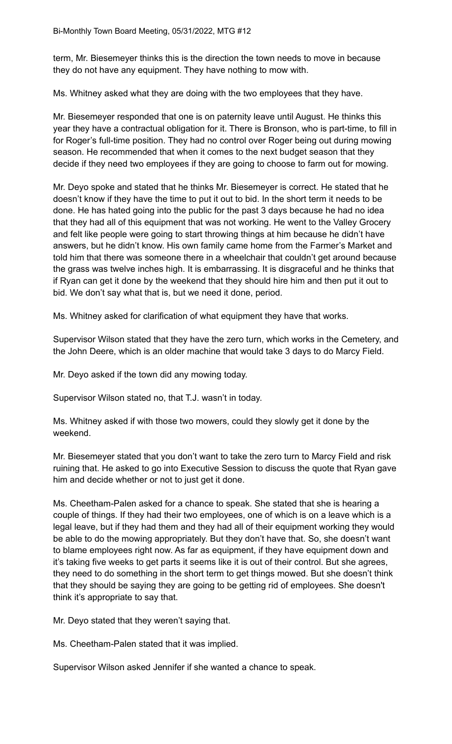term, Mr. Biesemeyer thinks this is the direction the town needs to move in because they do not have any equipment. They have nothing to mow with.

Ms. Whitney asked what they are doing with the two employees that they have.

Mr. Biesemeyer responded that one is on paternity leave until August. He thinks this year they have a contractual obligation for it. There is Bronson, who is part-time, to fill in for Roger's full-time position. They had no control over Roger being out during mowing season. He recommended that when it comes to the next budget season that they decide if they need two employees if they are going to choose to farm out for mowing.

Mr. Deyo spoke and stated that he thinks Mr. Biesemeyer is correct. He stated that he doesn't know if they have the time to put it out to bid. In the short term it needs to be done. He has hated going into the public for the past 3 days because he had no idea that they had all of this equipment that was not working. He went to the Valley Grocery and felt like people were going to start throwing things at him because he didn't have answers, but he didn't know. His own family came home from the Farmer's Market and told him that there was someone there in a wheelchair that couldn't get around because the grass was twelve inches high. It is embarrassing. It is disgraceful and he thinks that if Ryan can get it done by the weekend that they should hire him and then put it out to bid. We don't say what that is, but we need it done, period.

Ms. Whitney asked for clarification of what equipment they have that works.

Supervisor Wilson stated that they have the zero turn, which works in the Cemetery, and the John Deere, which is an older machine that would take 3 days to do Marcy Field.

Mr. Deyo asked if the town did any mowing today.

Supervisor Wilson stated no, that T.J. wasn't in today.

Ms. Whitney asked if with those two mowers, could they slowly get it done by the weekend.

Mr. Biesemeyer stated that you don't want to take the zero turn to Marcy Field and risk ruining that. He asked to go into Executive Session to discuss the quote that Ryan gave him and decide whether or not to just get it done.

Ms. Cheetham-Palen asked for a chance to speak. She stated that she is hearing a couple of things. If they had their two employees, one of which is on a leave which is a legal leave, but if they had them and they had all of their equipment working they would be able to do the mowing appropriately. But they don't have that. So, she doesn't want to blame employees right now. As far as equipment, if they have equipment down and it's taking five weeks to get parts it seems like it is out of their control. But she agrees, they need to do something in the short term to get things mowed. But she doesn't think that they should be saying they are going to be getting rid of employees. She doesn't think it's appropriate to say that.

Mr. Deyo stated that they weren't saying that.

Ms. Cheetham-Palen stated that it was implied.

Supervisor Wilson asked Jennifer if she wanted a chance to speak.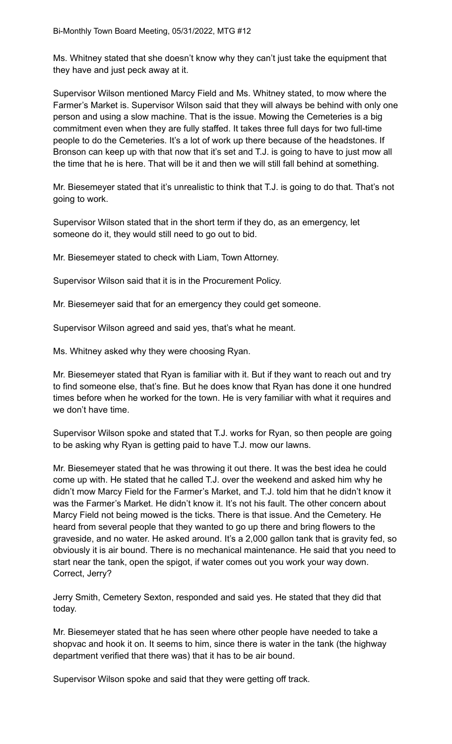Ms. Whitney stated that she doesn't know why they can't just take the equipment that they have and just peck away at it.

Supervisor Wilson mentioned Marcy Field and Ms. Whitney stated, to mow where the Farmer's Market is. Supervisor Wilson said that they will always be behind with only one person and using a slow machine. That is the issue. Mowing the Cemeteries is a big commitment even when they are fully staffed. It takes three full days for two full-time people to do the Cemeteries. It's a lot of work up there because of the headstones. If Bronson can keep up with that now that it's set and T.J. is going to have to just mow all the time that he is here. That will be it and then we will still fall behind at something.

Mr. Biesemeyer stated that it's unrealistic to think that T.J. is going to do that. That's not going to work.

Supervisor Wilson stated that in the short term if they do, as an emergency, let someone do it, they would still need to go out to bid.

Mr. Biesemeyer stated to check with Liam, Town Attorney.

Supervisor Wilson said that it is in the Procurement Policy.

Mr. Biesemeyer said that for an emergency they could get someone.

Supervisor Wilson agreed and said yes, that's what he meant.

Ms. Whitney asked why they were choosing Ryan.

Mr. Biesemeyer stated that Ryan is familiar with it. But if they want to reach out and try to find someone else, that's fine. But he does know that Ryan has done it one hundred times before when he worked for the town. He is very familiar with what it requires and we don't have time.

Supervisor Wilson spoke and stated that T.J. works for Ryan, so then people are going to be asking why Ryan is getting paid to have T.J. mow our lawns.

Mr. Biesemeyer stated that he was throwing it out there. It was the best idea he could come up with. He stated that he called T.J. over the weekend and asked him why he didn't mow Marcy Field for the Farmer's Market, and T.J. told him that he didn't know it was the Farmer's Market. He didn't know it. It's not his fault. The other concern about Marcy Field not being mowed is the ticks. There is that issue. And the Cemetery. He heard from several people that they wanted to go up there and bring flowers to the graveside, and no water. He asked around. It's a 2,000 gallon tank that is gravity fed, so obviously it is air bound. There is no mechanical maintenance. He said that you need to start near the tank, open the spigot, if water comes out you work your way down. Correct, Jerry?

Jerry Smith, Cemetery Sexton, responded and said yes. He stated that they did that today.

Mr. Biesemeyer stated that he has seen where other people have needed to take a shopvac and hook it on. It seems to him, since there is water in the tank (the highway department verified that there was) that it has to be air bound.

Supervisor Wilson spoke and said that they were getting off track.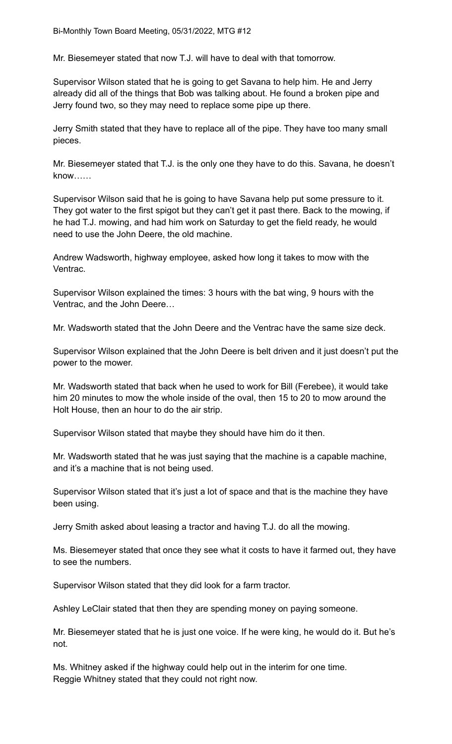Mr. Biesemeyer stated that now T.J. will have to deal with that tomorrow.

Supervisor Wilson stated that he is going to get Savana to help him. He and Jerry already did all of the things that Bob was talking about. He found a broken pipe and Jerry found two, so they may need to replace some pipe up there.

Jerry Smith stated that they have to replace all of the pipe. They have too many small pieces.

Mr. Biesemeyer stated that T.J. is the only one they have to do this. Savana, he doesn't know……

Supervisor Wilson said that he is going to have Savana help put some pressure to it. They got water to the first spigot but they can't get it past there. Back to the mowing, if he had T.J. mowing, and had him work on Saturday to get the field ready, he would need to use the John Deere, the old machine.

Andrew Wadsworth, highway employee, asked how long it takes to mow with the Ventrac.

Supervisor Wilson explained the times: 3 hours with the bat wing, 9 hours with the Ventrac, and the John Deere…

Mr. Wadsworth stated that the John Deere and the Ventrac have the same size deck.

Supervisor Wilson explained that the John Deere is belt driven and it just doesn't put the power to the mower.

Mr. Wadsworth stated that back when he used to work for Bill (Ferebee), it would take him 20 minutes to mow the whole inside of the oval, then 15 to 20 to mow around the Holt House, then an hour to do the air strip.

Supervisor Wilson stated that maybe they should have him do it then.

Mr. Wadsworth stated that he was just saying that the machine is a capable machine, and it's a machine that is not being used.

Supervisor Wilson stated that it's just a lot of space and that is the machine they have been using.

Jerry Smith asked about leasing a tractor and having T.J. do all the mowing.

Ms. Biesemeyer stated that once they see what it costs to have it farmed out, they have to see the numbers.

Supervisor Wilson stated that they did look for a farm tractor.

Ashley LeClair stated that then they are spending money on paying someone.

Mr. Biesemeyer stated that he is just one voice. If he were king, he would do it. But he's not.

Ms. Whitney asked if the highway could help out in the interim for one time. Reggie Whitney stated that they could not right now.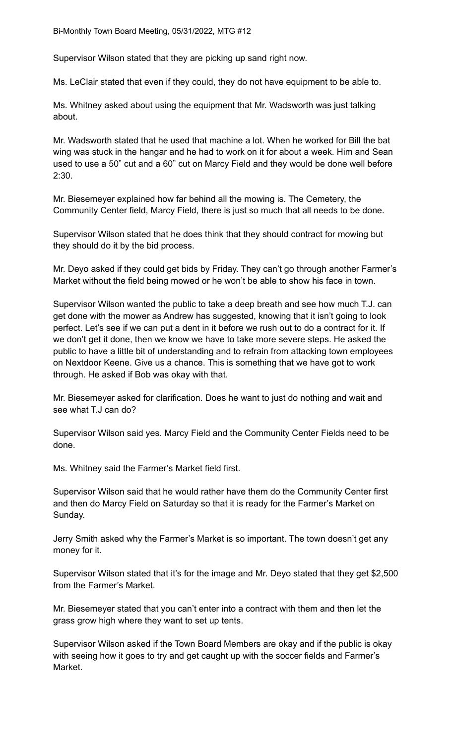Supervisor Wilson stated that they are picking up sand right now.

Ms. LeClair stated that even if they could, they do not have equipment to be able to.

Ms. Whitney asked about using the equipment that Mr. Wadsworth was just talking about.

Mr. Wadsworth stated that he used that machine a lot. When he worked for Bill the bat wing was stuck in the hangar and he had to work on it for about a week. Him and Sean used to use a 50" cut and a 60" cut on Marcy Field and they would be done well before 2:30.

Mr. Biesemeyer explained how far behind all the mowing is. The Cemetery, the Community Center field, Marcy Field, there is just so much that all needs to be done.

Supervisor Wilson stated that he does think that they should contract for mowing but they should do it by the bid process.

Mr. Deyo asked if they could get bids by Friday. They can't go through another Farmer's Market without the field being mowed or he won't be able to show his face in town.

Supervisor Wilson wanted the public to take a deep breath and see how much T.J. can get done with the mower as Andrew has suggested, knowing that it isn't going to look perfect. Let's see if we can put a dent in it before we rush out to do a contract for it. If we don't get it done, then we know we have to take more severe steps. He asked the public to have a little bit of understanding and to refrain from attacking town employees on Nextdoor Keene. Give us a chance. This is something that we have got to work through. He asked if Bob was okay with that.

Mr. Biesemeyer asked for clarification. Does he want to just do nothing and wait and see what T.J can do?

Supervisor Wilson said yes. Marcy Field and the Community Center Fields need to be done.

Ms. Whitney said the Farmer's Market field first.

Supervisor Wilson said that he would rather have them do the Community Center first and then do Marcy Field on Saturday so that it is ready for the Farmer's Market on Sunday.

Jerry Smith asked why the Farmer's Market is so important. The town doesn't get any money for it.

Supervisor Wilson stated that it's for the image and Mr. Deyo stated that they get \$2,500 from the Farmer's Market.

Mr. Biesemeyer stated that you can't enter into a contract with them and then let the grass grow high where they want to set up tents.

Supervisor Wilson asked if the Town Board Members are okay and if the public is okay with seeing how it goes to try and get caught up with the soccer fields and Farmer's Market.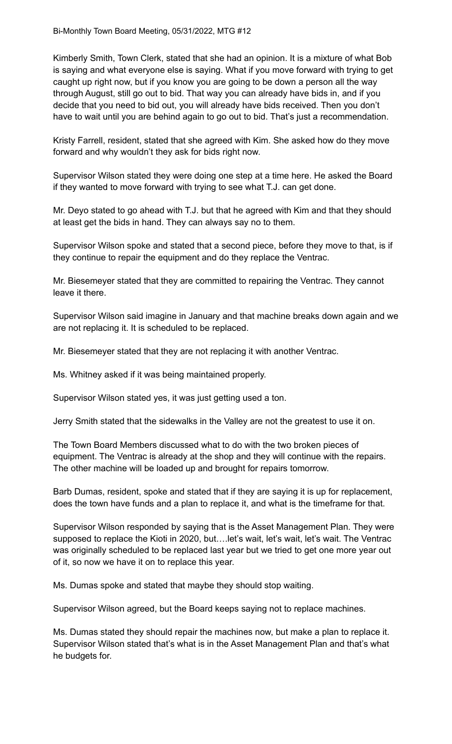Kimberly Smith, Town Clerk, stated that she had an opinion. It is a mixture of what Bob is saying and what everyone else is saying. What if you move forward with trying to get caught up right now, but if you know you are going to be down a person all the way through August, still go out to bid. That way you can already have bids in, and if you decide that you need to bid out, you will already have bids received. Then you don't have to wait until you are behind again to go out to bid. That's just a recommendation.

Kristy Farrell, resident, stated that she agreed with Kim. She asked how do they move forward and why wouldn't they ask for bids right now.

Supervisor Wilson stated they were doing one step at a time here. He asked the Board if they wanted to move forward with trying to see what T.J. can get done.

Mr. Deyo stated to go ahead with T.J. but that he agreed with Kim and that they should at least get the bids in hand. They can always say no to them.

Supervisor Wilson spoke and stated that a second piece, before they move to that, is if they continue to repair the equipment and do they replace the Ventrac.

Mr. Biesemeyer stated that they are committed to repairing the Ventrac. They cannot leave it there.

Supervisor Wilson said imagine in January and that machine breaks down again and we are not replacing it. It is scheduled to be replaced.

Mr. Biesemeyer stated that they are not replacing it with another Ventrac.

Ms. Whitney asked if it was being maintained properly.

Supervisor Wilson stated yes, it was just getting used a ton.

Jerry Smith stated that the sidewalks in the Valley are not the greatest to use it on.

The Town Board Members discussed what to do with the two broken pieces of equipment. The Ventrac is already at the shop and they will continue with the repairs. The other machine will be loaded up and brought for repairs tomorrow.

Barb Dumas, resident, spoke and stated that if they are saying it is up for replacement, does the town have funds and a plan to replace it, and what is the timeframe for that.

Supervisor Wilson responded by saying that is the Asset Management Plan. They were supposed to replace the Kioti in 2020, but....let's wait, let's wait, let's wait. The Ventrac was originally scheduled to be replaced last year but we tried to get one more year out of it, so now we have it on to replace this year.

Ms. Dumas spoke and stated that maybe they should stop waiting.

Supervisor Wilson agreed, but the Board keeps saying not to replace machines.

Ms. Dumas stated they should repair the machines now, but make a plan to replace it. Supervisor Wilson stated that's what is in the Asset Management Plan and that's what he budgets for.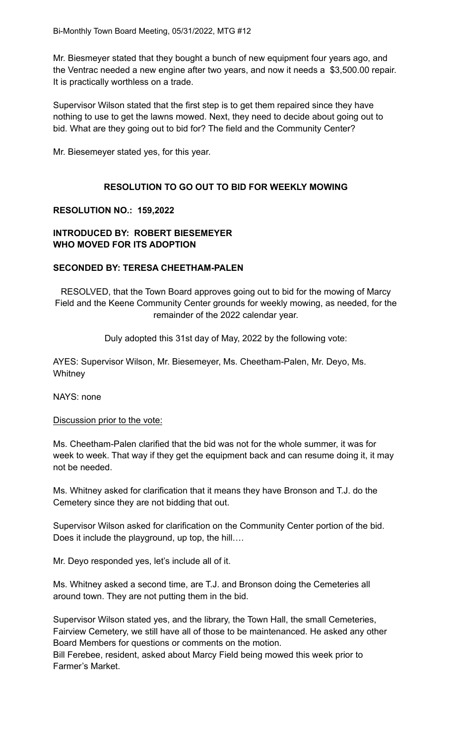Mr. Biesmeyer stated that they bought a bunch of new equipment four years ago, and the Ventrac needed a new engine after two years, and now it needs a \$3,500.00 repair. It is practically worthless on a trade.

Supervisor Wilson stated that the first step is to get them repaired since they have nothing to use to get the lawns mowed. Next, they need to decide about going out to bid. What are they going out to bid for? The field and the Community Center?

Mr. Biesemeyer stated yes, for this year.

# **RESOLUTION TO GO OUT TO BID FOR WEEKLY MOWING**

### **RESOLUTION NO.: 159,2022**

# **INTRODUCED BY: ROBERT BIESEMEYER WHO MOVED FOR ITS ADOPTION**

### **SECONDED BY: TERESA CHEETHAM-PALEN**

RESOLVED, that the Town Board approves going out to bid for the mowing of Marcy Field and the Keene Community Center grounds for weekly mowing, as needed, for the remainder of the 2022 calendar year.

Duly adopted this 31st day of May, 2022 by the following vote:

AYES: Supervisor Wilson, Mr. Biesemeyer, Ms. Cheetham-Palen, Mr. Deyo, Ms. **Whitney** 

NAYS: none

#### Discussion prior to the vote:

Ms. Cheetham-Palen clarified that the bid was not for the whole summer, it was for week to week. That way if they get the equipment back and can resume doing it, it may not be needed.

Ms. Whitney asked for clarification that it means they have Bronson and T.J. do the Cemetery since they are not bidding that out.

Supervisor Wilson asked for clarification on the Community Center portion of the bid. Does it include the playground, up top, the hill….

Mr. Deyo responded yes, let's include all of it.

Ms. Whitney asked a second time, are T.J. and Bronson doing the Cemeteries all around town. They are not putting them in the bid.

Supervisor Wilson stated yes, and the library, the Town Hall, the small Cemeteries, Fairview Cemetery, we still have all of those to be maintenanced. He asked any other Board Members for questions or comments on the motion.

Bill Ferebee, resident, asked about Marcy Field being mowed this week prior to Farmer's Market.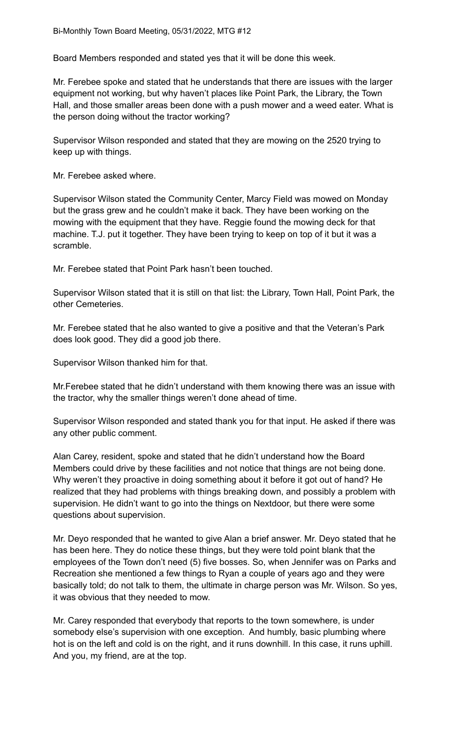Board Members responded and stated yes that it will be done this week.

Mr. Ferebee spoke and stated that he understands that there are issues with the larger equipment not working, but why haven't places like Point Park, the Library, the Town Hall, and those smaller areas been done with a push mower and a weed eater. What is the person doing without the tractor working?

Supervisor Wilson responded and stated that they are mowing on the 2520 trying to keep up with things.

Mr. Ferebee asked where.

Supervisor Wilson stated the Community Center, Marcy Field was mowed on Monday but the grass grew and he couldn't make it back. They have been working on the mowing with the equipment that they have. Reggie found the mowing deck for that machine. T.J. put it together. They have been trying to keep on top of it but it was a scramble.

Mr. Ferebee stated that Point Park hasn't been touched.

Supervisor Wilson stated that it is still on that list: the Library, Town Hall, Point Park, the other Cemeteries.

Mr. Ferebee stated that he also wanted to give a positive and that the Veteran's Park does look good. They did a good job there.

Supervisor Wilson thanked him for that.

Mr.Ferebee stated that he didn't understand with them knowing there was an issue with the tractor, why the smaller things weren't done ahead of time.

Supervisor Wilson responded and stated thank you for that input. He asked if there was any other public comment.

Alan Carey, resident, spoke and stated that he didn't understand how the Board Members could drive by these facilities and not notice that things are not being done. Why weren't they proactive in doing something about it before it got out of hand? He realized that they had problems with things breaking down, and possibly a problem with supervision. He didn't want to go into the things on Nextdoor, but there were some questions about supervision.

Mr. Deyo responded that he wanted to give Alan a brief answer. Mr. Deyo stated that he has been here. They do notice these things, but they were told point blank that the employees of the Town don't need (5) five bosses. So, when Jennifer was on Parks and Recreation she mentioned a few things to Ryan a couple of years ago and they were basically told; do not talk to them, the ultimate in charge person was Mr. Wilson. So yes, it was obvious that they needed to mow.

Mr. Carey responded that everybody that reports to the town somewhere, is under somebody else's supervision with one exception. And humbly, basic plumbing where hot is on the left and cold is on the right, and it runs downhill. In this case, it runs uphill. And you, my friend, are at the top.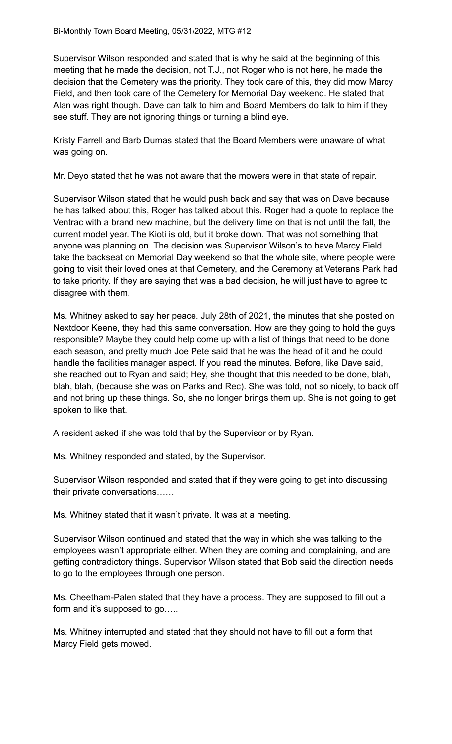Supervisor Wilson responded and stated that is why he said at the beginning of this meeting that he made the decision, not T.J., not Roger who is not here, he made the decision that the Cemetery was the priority. They took care of this, they did mow Marcy Field, and then took care of the Cemetery for Memorial Day weekend. He stated that Alan was right though. Dave can talk to him and Board Members do talk to him if they see stuff. They are not ignoring things or turning a blind eye.

Kristy Farrell and Barb Dumas stated that the Board Members were unaware of what was going on.

Mr. Deyo stated that he was not aware that the mowers were in that state of repair.

Supervisor Wilson stated that he would push back and say that was on Dave because he has talked about this, Roger has talked about this. Roger had a quote to replace the Ventrac with a brand new machine, but the delivery time on that is not until the fall, the current model year. The Kioti is old, but it broke down. That was not something that anyone was planning on. The decision was Supervisor Wilson's to have Marcy Field take the backseat on Memorial Day weekend so that the whole site, where people were going to visit their loved ones at that Cemetery, and the Ceremony at Veterans Park had to take priority. If they are saying that was a bad decision, he will just have to agree to disagree with them.

Ms. Whitney asked to say her peace. July 28th of 2021, the minutes that she posted on Nextdoor Keene, they had this same conversation. How are they going to hold the guys responsible? Maybe they could help come up with a list of things that need to be done each season, and pretty much Joe Pete said that he was the head of it and he could handle the facilities manager aspect. If you read the minutes. Before, like Dave said, she reached out to Ryan and said; Hey, she thought that this needed to be done, blah, blah, blah, (because she was on Parks and Rec). She was told, not so nicely, to back off and not bring up these things. So, she no longer brings them up. She is not going to get spoken to like that.

A resident asked if she was told that by the Supervisor or by Ryan.

Ms. Whitney responded and stated, by the Supervisor.

Supervisor Wilson responded and stated that if they were going to get into discussing their private conversations……

Ms. Whitney stated that it wasn't private. It was at a meeting.

Supervisor Wilson continued and stated that the way in which she was talking to the employees wasn't appropriate either. When they are coming and complaining, and are getting contradictory things. Supervisor Wilson stated that Bob said the direction needs to go to the employees through one person.

Ms. Cheetham-Palen stated that they have a process. They are supposed to fill out a form and it's supposed to go.....

Ms. Whitney interrupted and stated that they should not have to fill out a form that Marcy Field gets mowed.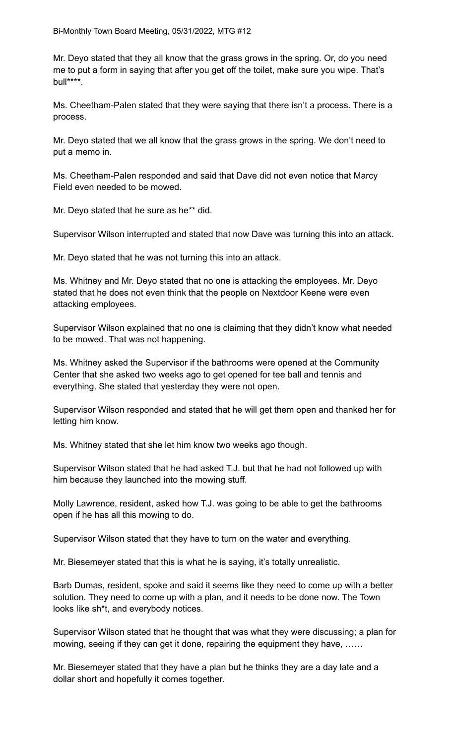Mr. Deyo stated that they all know that the grass grows in the spring. Or, do you need me to put a form in saying that after you get off the toilet, make sure you wipe. That's bull\*\*\*\*.

Ms. Cheetham-Palen stated that they were saying that there isn't a process. There is a process.

Mr. Deyo stated that we all know that the grass grows in the spring. We don't need to put a memo in.

Ms. Cheetham-Palen responded and said that Dave did not even notice that Marcy Field even needed to be mowed.

Mr. Deyo stated that he sure as he\*\* did.

Supervisor Wilson interrupted and stated that now Dave was turning this into an attack.

Mr. Deyo stated that he was not turning this into an attack.

Ms. Whitney and Mr. Deyo stated that no one is attacking the employees. Mr. Deyo stated that he does not even think that the people on Nextdoor Keene were even attacking employees.

Supervisor Wilson explained that no one is claiming that they didn't know what needed to be mowed. That was not happening.

Ms. Whitney asked the Supervisor if the bathrooms were opened at the Community Center that she asked two weeks ago to get opened for tee ball and tennis and everything. She stated that yesterday they were not open.

Supervisor Wilson responded and stated that he will get them open and thanked her for letting him know.

Ms. Whitney stated that she let him know two weeks ago though.

Supervisor Wilson stated that he had asked T.J. but that he had not followed up with him because they launched into the mowing stuff.

Molly Lawrence, resident, asked how T.J. was going to be able to get the bathrooms open if he has all this mowing to do.

Supervisor Wilson stated that they have to turn on the water and everything.

Mr. Biesemeyer stated that this is what he is saying, it's totally unrealistic.

Barb Dumas, resident, spoke and said it seems like they need to come up with a better solution. They need to come up with a plan, and it needs to be done now. The Town looks like sh\*t, and everybody notices.

Supervisor Wilson stated that he thought that was what they were discussing; a plan for mowing, seeing if they can get it done, repairing the equipment they have, ……

Mr. Biesemeyer stated that they have a plan but he thinks they are a day late and a dollar short and hopefully it comes together.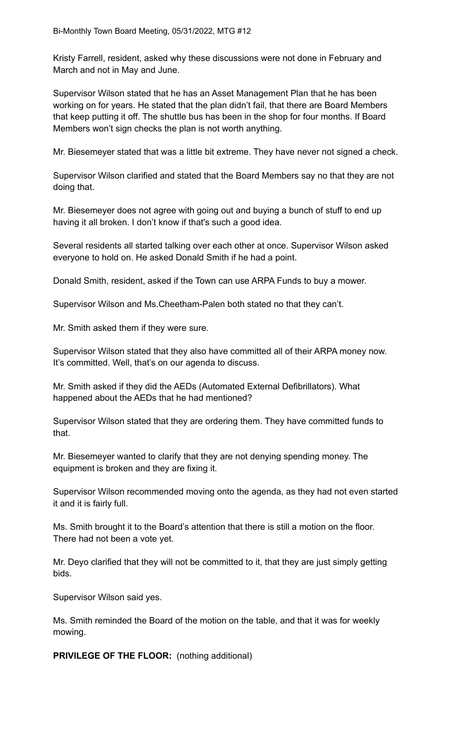Kristy Farrell, resident, asked why these discussions were not done in February and March and not in May and June.

Supervisor Wilson stated that he has an Asset Management Plan that he has been working on for years. He stated that the plan didn't fail, that there are Board Members that keep putting it off. The shuttle bus has been in the shop for four months. If Board Members won't sign checks the plan is not worth anything.

Mr. Biesemeyer stated that was a little bit extreme. They have never not signed a check.

Supervisor Wilson clarified and stated that the Board Members say no that they are not doing that.

Mr. Biesemeyer does not agree with going out and buying a bunch of stuff to end up having it all broken. I don't know if that's such a good idea.

Several residents all started talking over each other at once. Supervisor Wilson asked everyone to hold on. He asked Donald Smith if he had a point.

Donald Smith, resident, asked if the Town can use ARPA Funds to buy a mower.

Supervisor Wilson and Ms.Cheetham-Palen both stated no that they can't.

Mr. Smith asked them if they were sure.

Supervisor Wilson stated that they also have committed all of their ARPA money now. It's committed. Well, that's on our agenda to discuss.

Mr. Smith asked if they did the AEDs (Automated External Defibrillators). What happened about the AEDs that he had mentioned?

Supervisor Wilson stated that they are ordering them. They have committed funds to that.

Mr. Biesemeyer wanted to clarify that they are not denying spending money. The equipment is broken and they are fixing it.

Supervisor Wilson recommended moving onto the agenda, as they had not even started it and it is fairly full.

Ms. Smith brought it to the Board's attention that there is still a motion on the floor. There had not been a vote yet.

Mr. Deyo clarified that they will not be committed to it, that they are just simply getting bids.

Supervisor Wilson said yes.

Ms. Smith reminded the Board of the motion on the table, and that it was for weekly mowing.

**PRIVILEGE OF THE FLOOR:** (nothing additional)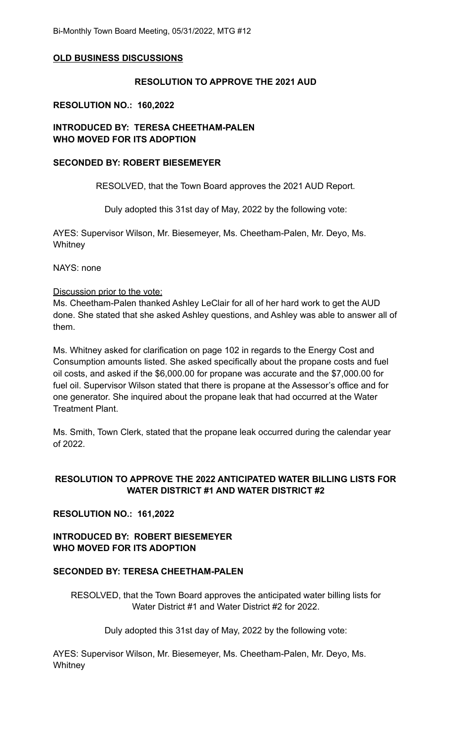#### **OLD BUSINESS DISCUSSIONS**

#### **RESOLUTION TO APPROVE THE 2021 AUD**

#### **RESOLUTION NO.: 160,2022**

### **INTRODUCED BY: TERESA CHEETHAM-PALEN WHO MOVED FOR ITS ADOPTION**

#### **SECONDED BY: ROBERT BIESEMEYER**

RESOLVED, that the Town Board approves the 2021 AUD Report.

Duly adopted this 31st day of May, 2022 by the following vote:

AYES: Supervisor Wilson, Mr. Biesemeyer, Ms. Cheetham-Palen, Mr. Deyo, Ms. **Whitney** 

NAYS: none

#### Discussion prior to the vote:

Ms. Cheetham-Palen thanked Ashley LeClair for all of her hard work to get the AUD done. She stated that she asked Ashley questions, and Ashley was able to answer all of them.

Ms. Whitney asked for clarification on page 102 in regards to the Energy Cost and Consumption amounts listed. She asked specifically about the propane costs and fuel oil costs, and asked if the \$6,000.00 for propane was accurate and the \$7,000.00 for fuel oil. Supervisor Wilson stated that there is propane at the Assessor's office and for one generator. She inquired about the propane leak that had occurred at the Water Treatment Plant.

Ms. Smith, Town Clerk, stated that the propane leak occurred during the calendar year of 2022.

# **RESOLUTION TO APPROVE THE 2022 ANTICIPATED WATER BILLING LISTS FOR WATER DISTRICT #1 AND WATER DISTRICT #2**

### **RESOLUTION NO.: 161,2022**

**INTRODUCED BY: ROBERT BIESEMEYER WHO MOVED FOR ITS ADOPTION**

### **SECONDED BY: TERESA CHEETHAM-PALEN**

RESOLVED, that the Town Board approves the anticipated water billing lists for Water District #1 and Water District #2 for 2022.

Duly adopted this 31st day of May, 2022 by the following vote:

AYES: Supervisor Wilson, Mr. Biesemeyer, Ms. Cheetham-Palen, Mr. Deyo, Ms. **Whitney**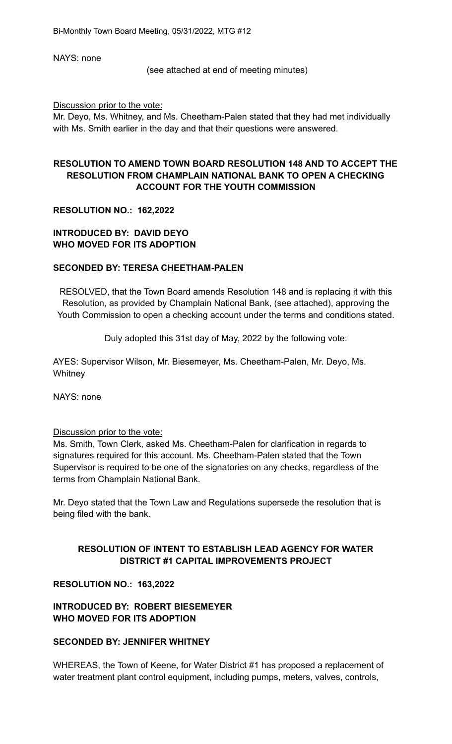NAYS: none

(see attached at end of meeting minutes)

Discussion prior to the vote:

Mr. Deyo, Ms. Whitney, and Ms. Cheetham-Palen stated that they had met individually with Ms. Smith earlier in the day and that their questions were answered.

# **RESOLUTION TO AMEND TOWN BOARD RESOLUTION 148 AND TO ACCEPT THE RESOLUTION FROM CHAMPLAIN NATIONAL BANK TO OPEN A CHECKING ACCOUNT FOR THE YOUTH COMMISSION**

### **RESOLUTION NO.: 162,2022**

### **INTRODUCED BY: DAVID DEYO WHO MOVED FOR ITS ADOPTION**

### **SECONDED BY: TERESA CHEETHAM-PALEN**

RESOLVED, that the Town Board amends Resolution 148 and is replacing it with this Resolution, as provided by Champlain National Bank, (see attached), approving the Youth Commission to open a checking account under the terms and conditions stated.

Duly adopted this 31st day of May, 2022 by the following vote:

AYES: Supervisor Wilson, Mr. Biesemeyer, Ms. Cheetham-Palen, Mr. Deyo, Ms. **Whitney** 

NAYS: none

### Discussion prior to the vote:

Ms. Smith, Town Clerk, asked Ms. Cheetham-Palen for clarification in regards to signatures required for this account. Ms. Cheetham-Palen stated that the Town Supervisor is required to be one of the signatories on any checks, regardless of the terms from Champlain National Bank.

Mr. Deyo stated that the Town Law and Regulations supersede the resolution that is being filed with the bank.

# **RESOLUTION OF INTENT TO ESTABLISH LEAD AGENCY FOR WATER DISTRICT #1 CAPITAL IMPROVEMENTS PROJECT**

### **RESOLUTION NO.: 163,2022**

# **INTRODUCED BY: ROBERT BIESEMEYER WHO MOVED FOR ITS ADOPTION**

### **SECONDED BY: JENNIFER WHITNEY**

WHEREAS, the Town of Keene, for Water District #1 has proposed a replacement of water treatment plant control equipment, including pumps, meters, valves, controls,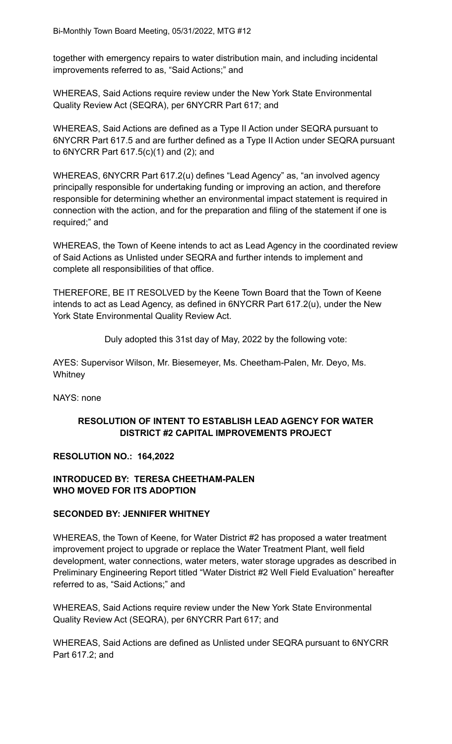together with emergency repairs to water distribution main, and including incidental improvements referred to as, "Said Actions;" and

WHEREAS, Said Actions require review under the New York State Environmental Quality Review Act (SEQRA), per 6NYCRR Part 617; and

WHEREAS, Said Actions are defined as a Type II Action under SEQRA pursuant to 6NYCRR Part 617.5 and are further defined as a Type II Action under SEQRA pursuant to 6NYCRR Part 617.5(c)(1) and (2); and

WHEREAS, 6NYCRR Part 617.2(u) defines "Lead Agency" as, "an involved agency principally responsible for undertaking funding or improving an action, and therefore responsible for determining whether an environmental impact statement is required in connection with the action, and for the preparation and filing of the statement if one is required;" and

WHEREAS, the Town of Keene intends to act as Lead Agency in the coordinated review of Said Actions as Unlisted under SEQRA and further intends to implement and complete all responsibilities of that office.

THEREFORE, BE IT RESOLVED by the Keene Town Board that the Town of Keene intends to act as Lead Agency, as defined in 6NYCRR Part 617.2(u), under the New York State Environmental Quality Review Act.

Duly adopted this 31st day of May, 2022 by the following vote:

AYES: Supervisor Wilson, Mr. Biesemeyer, Ms. Cheetham-Palen, Mr. Deyo, Ms. **Whitney** 

NAYS: none

# **RESOLUTION OF INTENT TO ESTABLISH LEAD AGENCY FOR WATER DISTRICT #2 CAPITAL IMPROVEMENTS PROJECT**

### **RESOLUTION NO.: 164,2022**

# **INTRODUCED BY: TERESA CHEETHAM-PALEN WHO MOVED FOR ITS ADOPTION**

### **SECONDED BY: JENNIFER WHITNEY**

WHEREAS, the Town of Keene, for Water District #2 has proposed a water treatment improvement project to upgrade or replace the Water Treatment Plant, well field development, water connections, water meters, water storage upgrades as described in Preliminary Engineering Report titled "Water District #2 Well Field Evaluation" hereafter referred to as, "Said Actions;" and

WHEREAS, Said Actions require review under the New York State Environmental Quality Review Act (SEQRA), per 6NYCRR Part 617; and

WHEREAS, Said Actions are defined as Unlisted under SEQRA pursuant to 6NYCRR Part 617.2; and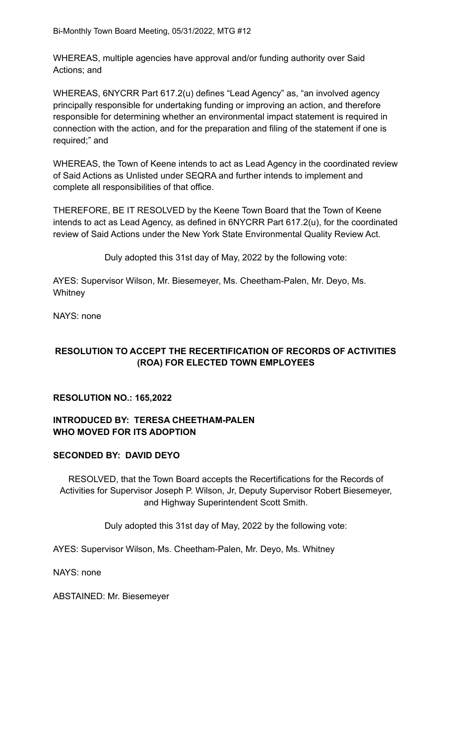WHEREAS, multiple agencies have approval and/or funding authority over Said Actions; and

WHEREAS, 6NYCRR Part 617.2(u) defines "Lead Agency" as, "an involved agency principally responsible for undertaking funding or improving an action, and therefore responsible for determining whether an environmental impact statement is required in connection with the action, and for the preparation and filing of the statement if one is required;" and

WHEREAS, the Town of Keene intends to act as Lead Agency in the coordinated review of Said Actions as Unlisted under SEQRA and further intends to implement and complete all responsibilities of that office.

THEREFORE, BE IT RESOLVED by the Keene Town Board that the Town of Keene intends to act as Lead Agency, as defined in 6NYCRR Part 617.2(u), for the coordinated review of Said Actions under the New York State Environmental Quality Review Act.

Duly adopted this 31st day of May, 2022 by the following vote:

AYES: Supervisor Wilson, Mr. Biesemeyer, Ms. Cheetham-Palen, Mr. Deyo, Ms. **Whitney** 

NAYS: none

# **RESOLUTION TO ACCEPT THE RECERTIFICATION OF RECORDS OF ACTIVITIES (ROA) FOR ELECTED TOWN EMPLOYEES**

### **RESOLUTION NO.: 165,2022**

#### **INTRODUCED BY: TERESA CHEETHAM-PALEN WHO MOVED FOR ITS ADOPTION**

### **SECONDED BY: DAVID DEYO**

RESOLVED, that the Town Board accepts the Recertifications for the Records of Activities for Supervisor Joseph P. Wilson, Jr, Deputy Supervisor Robert Biesemeyer, and Highway Superintendent Scott Smith.

Duly adopted this 31st day of May, 2022 by the following vote:

AYES: Supervisor Wilson, Ms. Cheetham-Palen, Mr. Deyo, Ms. Whitney

NAYS: none

ABSTAINED: Mr. Biesemeyer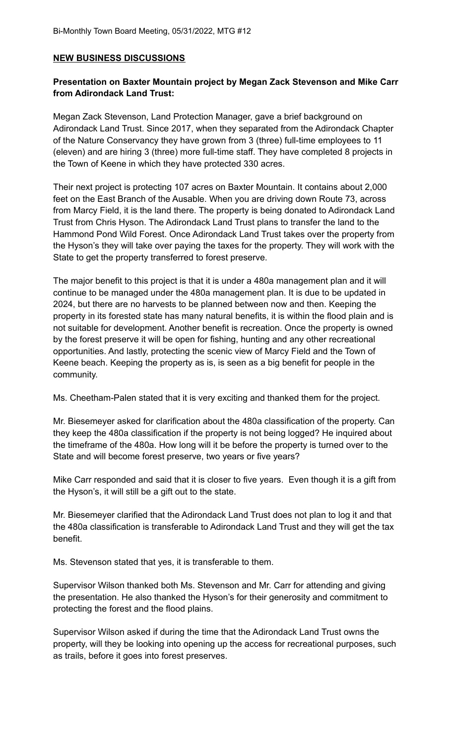### **NEW BUSINESS DISCUSSIONS**

### **Presentation on Baxter Mountain project by Megan Zack Stevenson and Mike Carr from Adirondack Land Trust:**

Megan Zack Stevenson, Land Protection Manager, gave a brief background on Adirondack Land Trust. Since 2017, when they separated from the Adirondack Chapter of the Nature Conservancy they have grown from 3 (three) full-time employees to 11 (eleven) and are hiring 3 (three) more full-time staff. They have completed 8 projects in the Town of Keene in which they have protected 330 acres.

Their next project is protecting 107 acres on Baxter Mountain. It contains about 2,000 feet on the East Branch of the Ausable. When you are driving down Route 73, across from Marcy Field, it is the land there. The property is being donated to Adirondack Land Trust from Chris Hyson. The Adirondack Land Trust plans to transfer the land to the Hammond Pond Wild Forest. Once Adirondack Land Trust takes over the property from the Hyson's they will take over paying the taxes for the property. They will work with the State to get the property transferred to forest preserve.

The major benefit to this project is that it is under a 480a management plan and it will continue to be managed under the 480a management plan. It is due to be updated in 2024, but there are no harvests to be planned between now and then. Keeping the property in its forested state has many natural benefits, it is within the flood plain and is not suitable for development. Another benefit is recreation. Once the property is owned by the forest preserve it will be open for fishing, hunting and any other recreational opportunities. And lastly, protecting the scenic view of Marcy Field and the Town of Keene beach. Keeping the property as is, is seen as a big benefit for people in the community.

Ms. Cheetham-Palen stated that it is very exciting and thanked them for the project.

Mr. Biesemeyer asked for clarification about the 480a classification of the property. Can they keep the 480a classification if the property is not being logged? He inquired about the timeframe of the 480a. How long will it be before the property is turned over to the State and will become forest preserve, two years or five years?

Mike Carr responded and said that it is closer to five years. Even though it is a gift from the Hyson's, it will still be a gift out to the state.

Mr. Biesemeyer clarified that the Adirondack Land Trust does not plan to log it and that the 480a classification is transferable to Adirondack Land Trust and they will get the tax benefit.

Ms. Stevenson stated that yes, it is transferable to them.

Supervisor Wilson thanked both Ms. Stevenson and Mr. Carr for attending and giving the presentation. He also thanked the Hyson's for their generosity and commitment to protecting the forest and the flood plains.

Supervisor Wilson asked if during the time that the Adirondack Land Trust owns the property, will they be looking into opening up the access for recreational purposes, such as trails, before it goes into forest preserves.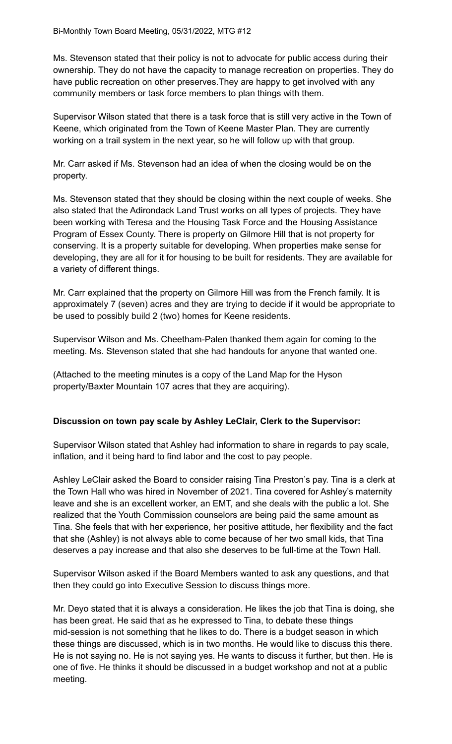Ms. Stevenson stated that their policy is not to advocate for public access during their ownership. They do not have the capacity to manage recreation on properties. They do have public recreation on other preserves.They are happy to get involved with any community members or task force members to plan things with them.

Supervisor Wilson stated that there is a task force that is still very active in the Town of Keene, which originated from the Town of Keene Master Plan. They are currently working on a trail system in the next year, so he will follow up with that group.

Mr. Carr asked if Ms. Stevenson had an idea of when the closing would be on the property.

Ms. Stevenson stated that they should be closing within the next couple of weeks. She also stated that the Adirondack Land Trust works on all types of projects. They have been working with Teresa and the Housing Task Force and the Housing Assistance Program of Essex County. There is property on Gilmore Hill that is not property for conserving. It is a property suitable for developing. When properties make sense for developing, they are all for it for housing to be built for residents. They are available for a variety of different things.

Mr. Carr explained that the property on Gilmore Hill was from the French family. It is approximately 7 (seven) acres and they are trying to decide if it would be appropriate to be used to possibly build 2 (two) homes for Keene residents.

Supervisor Wilson and Ms. Cheetham-Palen thanked them again for coming to the meeting. Ms. Stevenson stated that she had handouts for anyone that wanted one.

(Attached to the meeting minutes is a copy of the Land Map for the Hyson property/Baxter Mountain 107 acres that they are acquiring).

# **Discussion on town pay scale by Ashley LeClair, Clerk to the Supervisor:**

Supervisor Wilson stated that Ashley had information to share in regards to pay scale, inflation, and it being hard to find labor and the cost to pay people.

Ashley LeClair asked the Board to consider raising Tina Preston's pay. Tina is a clerk at the Town Hall who was hired in November of 2021. Tina covered for Ashley's maternity leave and she is an excellent worker, an EMT, and she deals with the public a lot. She realized that the Youth Commission counselors are being paid the same amount as Tina. She feels that with her experience, her positive attitude, her flexibility and the fact that she (Ashley) is not always able to come because of her two small kids, that Tina deserves a pay increase and that also she deserves to be full-time at the Town Hall.

Supervisor Wilson asked if the Board Members wanted to ask any questions, and that then they could go into Executive Session to discuss things more.

Mr. Deyo stated that it is always a consideration. He likes the job that Tina is doing, she has been great. He said that as he expressed to Tina, to debate these things mid-session is not something that he likes to do. There is a budget season in which these things are discussed, which is in two months. He would like to discuss this there. He is not saying no. He is not saying yes. He wants to discuss it further, but then. He is one of five. He thinks it should be discussed in a budget workshop and not at a public meeting.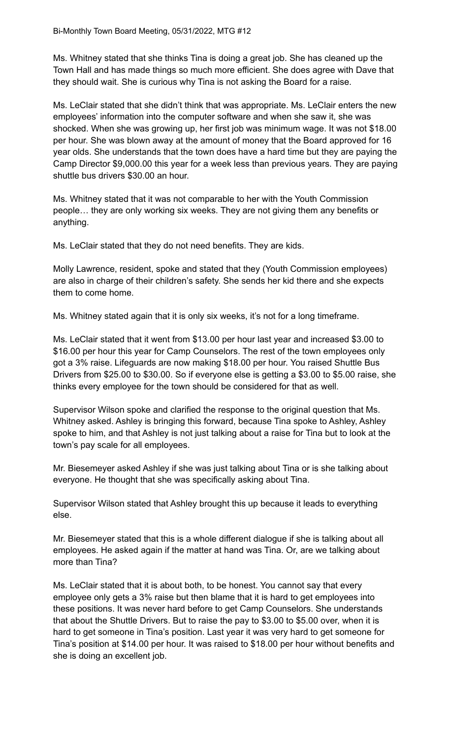Ms. Whitney stated that she thinks Tina is doing a great job. She has cleaned up the Town Hall and has made things so much more efficient. She does agree with Dave that they should wait. She is curious why Tina is not asking the Board for a raise.

Ms. LeClair stated that she didn't think that was appropriate. Ms. LeClair enters the new employees' information into the computer software and when she saw it, she was shocked. When she was growing up, her first job was minimum wage. It was not \$18.00 per hour. She was blown away at the amount of money that the Board approved for 16 year olds. She understands that the town does have a hard time but they are paying the Camp Director \$9,000.00 this year for a week less than previous years. They are paying shuttle bus drivers \$30.00 an hour.

Ms. Whitney stated that it was not comparable to her with the Youth Commission people… they are only working six weeks. They are not giving them any benefits or anything.

Ms. LeClair stated that they do not need benefits. They are kids.

Molly Lawrence, resident, spoke and stated that they (Youth Commission employees) are also in charge of their children's safety. She sends her kid there and she expects them to come home.

Ms. Whitney stated again that it is only six weeks, it's not for a long timeframe.

Ms. LeClair stated that it went from \$13.00 per hour last year and increased \$3.00 to \$16.00 per hour this year for Camp Counselors. The rest of the town employees only got a 3% raise. Lifeguards are now making \$18.00 per hour. You raised Shuttle Bus Drivers from \$25.00 to \$30.00. So if everyone else is getting a \$3.00 to \$5.00 raise, she thinks every employee for the town should be considered for that as well.

Supervisor Wilson spoke and clarified the response to the original question that Ms. Whitney asked. Ashley is bringing this forward, because Tina spoke to Ashley, Ashley spoke to him, and that Ashley is not just talking about a raise for Tina but to look at the town's pay scale for all employees.

Mr. Biesemeyer asked Ashley if she was just talking about Tina or is she talking about everyone. He thought that she was specifically asking about Tina.

Supervisor Wilson stated that Ashley brought this up because it leads to everything else.

Mr. Biesemeyer stated that this is a whole different dialogue if she is talking about all employees. He asked again if the matter at hand was Tina. Or, are we talking about more than Tina?

Ms. LeClair stated that it is about both, to be honest. You cannot say that every employee only gets a 3% raise but then blame that it is hard to get employees into these positions. It was never hard before to get Camp Counselors. She understands that about the Shuttle Drivers. But to raise the pay to \$3.00 to \$5.00 over, when it is hard to get someone in Tina's position. Last year it was very hard to get someone for Tina's position at \$14.00 per hour. It was raised to \$18.00 per hour without benefits and she is doing an excellent job.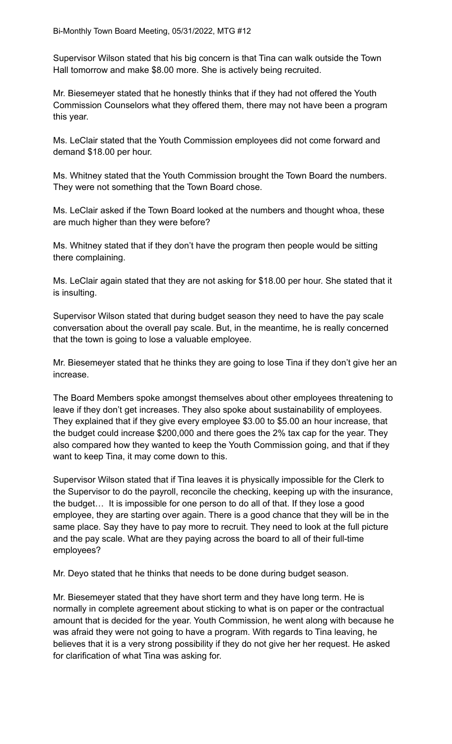Supervisor Wilson stated that his big concern is that Tina can walk outside the Town Hall tomorrow and make \$8.00 more. She is actively being recruited.

Mr. Biesemeyer stated that he honestly thinks that if they had not offered the Youth Commission Counselors what they offered them, there may not have been a program this year.

Ms. LeClair stated that the Youth Commission employees did not come forward and demand \$18.00 per hour.

Ms. Whitney stated that the Youth Commission brought the Town Board the numbers. They were not something that the Town Board chose.

Ms. LeClair asked if the Town Board looked at the numbers and thought whoa, these are much higher than they were before?

Ms. Whitney stated that if they don't have the program then people would be sitting there complaining.

Ms. LeClair again stated that they are not asking for \$18.00 per hour. She stated that it is insulting.

Supervisor Wilson stated that during budget season they need to have the pay scale conversation about the overall pay scale. But, in the meantime, he is really concerned that the town is going to lose a valuable employee.

Mr. Biesemeyer stated that he thinks they are going to lose Tina if they don't give her an increase.

The Board Members spoke amongst themselves about other employees threatening to leave if they don't get increases. They also spoke about sustainability of employees. They explained that if they give every employee \$3.00 to \$5.00 an hour increase, that the budget could increase \$200,000 and there goes the 2% tax cap for the year. They also compared how they wanted to keep the Youth Commission going, and that if they want to keep Tina, it may come down to this.

Supervisor Wilson stated that if Tina leaves it is physically impossible for the Clerk to the Supervisor to do the payroll, reconcile the checking, keeping up with the insurance, the budget… It is impossible for one person to do all of that. If they lose a good employee, they are starting over again. There is a good chance that they will be in the same place. Say they have to pay more to recruit. They need to look at the full picture and the pay scale. What are they paying across the board to all of their full-time employees?

Mr. Deyo stated that he thinks that needs to be done during budget season.

Mr. Biesemeyer stated that they have short term and they have long term. He is normally in complete agreement about sticking to what is on paper or the contractual amount that is decided for the year. Youth Commission, he went along with because he was afraid they were not going to have a program. With regards to Tina leaving, he believes that it is a very strong possibility if they do not give her her request. He asked for clarification of what Tina was asking for.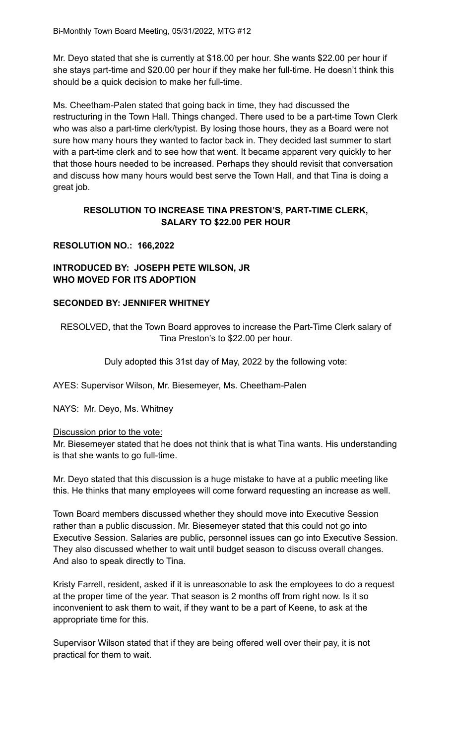Mr. Deyo stated that she is currently at \$18.00 per hour. She wants \$22.00 per hour if she stays part-time and \$20.00 per hour if they make her full-time. He doesn't think this should be a quick decision to make her full-time.

Ms. Cheetham-Palen stated that going back in time, they had discussed the restructuring in the Town Hall. Things changed. There used to be a part-time Town Clerk who was also a part-time clerk/typist. By losing those hours, they as a Board were not sure how many hours they wanted to factor back in. They decided last summer to start with a part-time clerk and to see how that went. It became apparent very quickly to her that those hours needed to be increased. Perhaps they should revisit that conversation and discuss how many hours would best serve the Town Hall, and that Tina is doing a great job.

# **RESOLUTION TO INCREASE TINA PRESTON'S, PART-TIME CLERK, SALARY TO \$22.00 PER HOUR**

# **RESOLUTION NO.: 166,2022**

# **INTRODUCED BY: JOSEPH PETE WILSON, JR WHO MOVED FOR ITS ADOPTION**

# **SECONDED BY: JENNIFER WHITNEY**

RESOLVED, that the Town Board approves to increase the Part-Time Clerk salary of Tina Preston's to \$22.00 per hour.

Duly adopted this 31st day of May, 2022 by the following vote:

AYES: Supervisor Wilson, Mr. Biesemeyer, Ms. Cheetham-Palen

NAYS: Mr. Deyo, Ms. Whitney

### Discussion prior to the vote:

Mr. Biesemeyer stated that he does not think that is what Tina wants. His understanding is that she wants to go full-time.

Mr. Deyo stated that this discussion is a huge mistake to have at a public meeting like this. He thinks that many employees will come forward requesting an increase as well.

Town Board members discussed whether they should move into Executive Session rather than a public discussion. Mr. Biesemeyer stated that this could not go into Executive Session. Salaries are public, personnel issues can go into Executive Session. They also discussed whether to wait until budget season to discuss overall changes. And also to speak directly to Tina.

Kristy Farrell, resident, asked if it is unreasonable to ask the employees to do a request at the proper time of the year. That season is 2 months off from right now. Is it so inconvenient to ask them to wait, if they want to be a part of Keene, to ask at the appropriate time for this.

Supervisor Wilson stated that if they are being offered well over their pay, it is not practical for them to wait.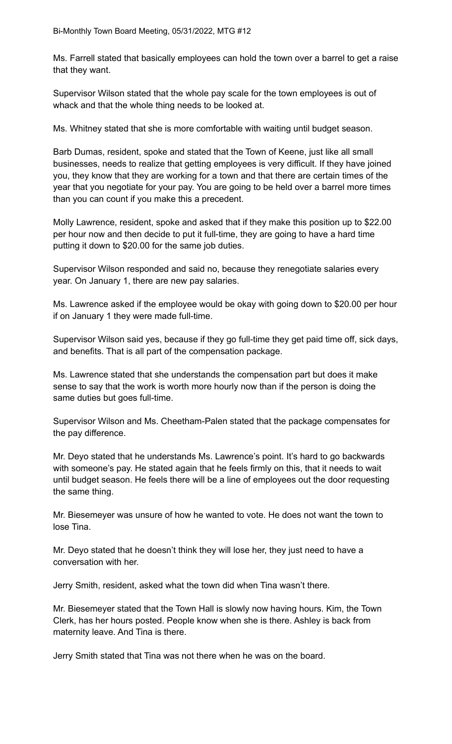Ms. Farrell stated that basically employees can hold the town over a barrel to get a raise that they want.

Supervisor Wilson stated that the whole pay scale for the town employees is out of whack and that the whole thing needs to be looked at.

Ms. Whitney stated that she is more comfortable with waiting until budget season.

Barb Dumas, resident, spoke and stated that the Town of Keene, just like all small businesses, needs to realize that getting employees is very difficult. If they have joined you, they know that they are working for a town and that there are certain times of the year that you negotiate for your pay. You are going to be held over a barrel more times than you can count if you make this a precedent.

Molly Lawrence, resident, spoke and asked that if they make this position up to \$22.00 per hour now and then decide to put it full-time, they are going to have a hard time putting it down to \$20.00 for the same job duties.

Supervisor Wilson responded and said no, because they renegotiate salaries every year. On January 1, there are new pay salaries.

Ms. Lawrence asked if the employee would be okay with going down to \$20.00 per hour if on January 1 they were made full-time.

Supervisor Wilson said yes, because if they go full-time they get paid time off, sick days, and benefits. That is all part of the compensation package.

Ms. Lawrence stated that she understands the compensation part but does it make sense to say that the work is worth more hourly now than if the person is doing the same duties but goes full-time.

Supervisor Wilson and Ms. Cheetham-Palen stated that the package compensates for the pay difference.

Mr. Deyo stated that he understands Ms. Lawrence's point. It's hard to go backwards with someone's pay. He stated again that he feels firmly on this, that it needs to wait until budget season. He feels there will be a line of employees out the door requesting the same thing.

Mr. Biesemeyer was unsure of how he wanted to vote. He does not want the town to lose Tina.

Mr. Deyo stated that he doesn't think they will lose her, they just need to have a conversation with her.

Jerry Smith, resident, asked what the town did when Tina wasn't there.

Mr. Biesemeyer stated that the Town Hall is slowly now having hours. Kim, the Town Clerk, has her hours posted. People know when she is there. Ashley is back from maternity leave. And Tina is there.

Jerry Smith stated that Tina was not there when he was on the board.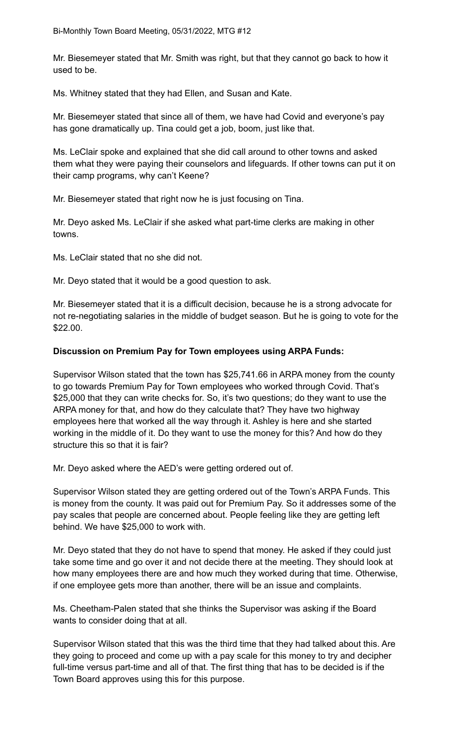Mr. Biesemeyer stated that Mr. Smith was right, but that they cannot go back to how it used to be.

Ms. Whitney stated that they had Ellen, and Susan and Kate.

Mr. Biesemeyer stated that since all of them, we have had Covid and everyone's pay has gone dramatically up. Tina could get a job, boom, just like that.

Ms. LeClair spoke and explained that she did call around to other towns and asked them what they were paying their counselors and lifeguards. If other towns can put it on their camp programs, why can't Keene?

Mr. Biesemeyer stated that right now he is just focusing on Tina.

Mr. Deyo asked Ms. LeClair if she asked what part-time clerks are making in other towns.

Ms. LeClair stated that no she did not.

Mr. Deyo stated that it would be a good question to ask.

Mr. Biesemeyer stated that it is a difficult decision, because he is a strong advocate for not re-negotiating salaries in the middle of budget season. But he is going to vote for the \$22.00.

# **Discussion on Premium Pay for Town employees using ARPA Funds:**

Supervisor Wilson stated that the town has \$25,741.66 in ARPA money from the county to go towards Premium Pay for Town employees who worked through Covid. That's \$25,000 that they can write checks for. So, it's two questions; do they want to use the ARPA money for that, and how do they calculate that? They have two highway employees here that worked all the way through it. Ashley is here and she started working in the middle of it. Do they want to use the money for this? And how do they structure this so that it is fair?

Mr. Deyo asked where the AED's were getting ordered out of.

Supervisor Wilson stated they are getting ordered out of the Town's ARPA Funds. This is money from the county. It was paid out for Premium Pay. So it addresses some of the pay scales that people are concerned about. People feeling like they are getting left behind. We have \$25,000 to work with.

Mr. Deyo stated that they do not have to spend that money. He asked if they could just take some time and go over it and not decide there at the meeting. They should look at how many employees there are and how much they worked during that time. Otherwise, if one employee gets more than another, there will be an issue and complaints.

Ms. Cheetham-Palen stated that she thinks the Supervisor was asking if the Board wants to consider doing that at all.

Supervisor Wilson stated that this was the third time that they had talked about this. Are they going to proceed and come up with a pay scale for this money to try and decipher full-time versus part-time and all of that. The first thing that has to be decided is if the Town Board approves using this for this purpose.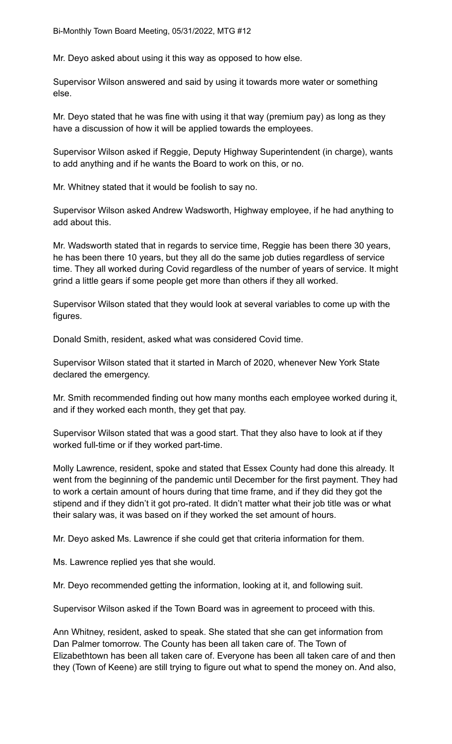Mr. Deyo asked about using it this way as opposed to how else.

Supervisor Wilson answered and said by using it towards more water or something else.

Mr. Deyo stated that he was fine with using it that way (premium pay) as long as they have a discussion of how it will be applied towards the employees.

Supervisor Wilson asked if Reggie, Deputy Highway Superintendent (in charge), wants to add anything and if he wants the Board to work on this, or no.

Mr. Whitney stated that it would be foolish to say no.

Supervisor Wilson asked Andrew Wadsworth, Highway employee, if he had anything to add about this.

Mr. Wadsworth stated that in regards to service time, Reggie has been there 30 years, he has been there 10 years, but they all do the same job duties regardless of service time. They all worked during Covid regardless of the number of years of service. It might grind a little gears if some people get more than others if they all worked.

Supervisor Wilson stated that they would look at several variables to come up with the figures.

Donald Smith, resident, asked what was considered Covid time.

Supervisor Wilson stated that it started in March of 2020, whenever New York State declared the emergency.

Mr. Smith recommended finding out how many months each employee worked during it, and if they worked each month, they get that pay.

Supervisor Wilson stated that was a good start. That they also have to look at if they worked full-time or if they worked part-time.

Molly Lawrence, resident, spoke and stated that Essex County had done this already. It went from the beginning of the pandemic until December for the first payment. They had to work a certain amount of hours during that time frame, and if they did they got the stipend and if they didn't it got pro-rated. It didn't matter what their job title was or what their salary was, it was based on if they worked the set amount of hours.

Mr. Deyo asked Ms. Lawrence if she could get that criteria information for them.

Ms. Lawrence replied yes that she would.

Mr. Deyo recommended getting the information, looking at it, and following suit.

Supervisor Wilson asked if the Town Board was in agreement to proceed with this.

Ann Whitney, resident, asked to speak. She stated that she can get information from Dan Palmer tomorrow. The County has been all taken care of. The Town of Elizabethtown has been all taken care of. Everyone has been all taken care of and then they (Town of Keene) are still trying to figure out what to spend the money on. And also,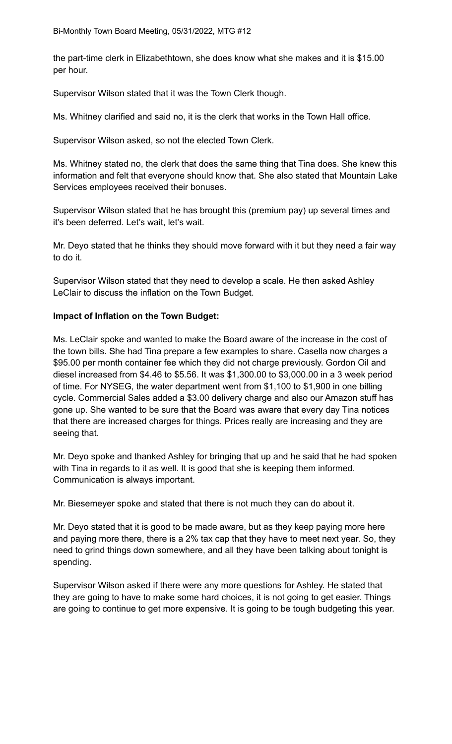Bi-Monthly Town Board Meeting, 05/31/2022, MTG #12

the part-time clerk in Elizabethtown, she does know what she makes and it is \$15.00 per hour.

Supervisor Wilson stated that it was the Town Clerk though.

Ms. Whitney clarified and said no, it is the clerk that works in the Town Hall office.

Supervisor Wilson asked, so not the elected Town Clerk.

Ms. Whitney stated no, the clerk that does the same thing that Tina does. She knew this information and felt that everyone should know that. She also stated that Mountain Lake Services employees received their bonuses.

Supervisor Wilson stated that he has brought this (premium pay) up several times and it's been deferred. Let's wait, let's wait.

Mr. Deyo stated that he thinks they should move forward with it but they need a fair way to do it.

Supervisor Wilson stated that they need to develop a scale. He then asked Ashley LeClair to discuss the inflation on the Town Budget.

# **Impact of Inflation on the Town Budget:**

Ms. LeClair spoke and wanted to make the Board aware of the increase in the cost of the town bills. She had Tina prepare a few examples to share. Casella now charges a \$95.00 per month container fee which they did not charge previously. Gordon Oil and diesel increased from \$4.46 to \$5.56. It was \$1,300.00 to \$3,000.00 in a 3 week period of time. For NYSEG, the water department went from \$1,100 to \$1,900 in one billing cycle. Commercial Sales added a \$3.00 delivery charge and also our Amazon stuff has gone up. She wanted to be sure that the Board was aware that every day Tina notices that there are increased charges for things. Prices really are increasing and they are seeing that.

Mr. Deyo spoke and thanked Ashley for bringing that up and he said that he had spoken with Tina in regards to it as well. It is good that she is keeping them informed. Communication is always important.

Mr. Biesemeyer spoke and stated that there is not much they can do about it.

Mr. Deyo stated that it is good to be made aware, but as they keep paying more here and paying more there, there is a 2% tax cap that they have to meet next year. So, they need to grind things down somewhere, and all they have been talking about tonight is spending.

Supervisor Wilson asked if there were any more questions for Ashley. He stated that they are going to have to make some hard choices, it is not going to get easier. Things are going to continue to get more expensive. It is going to be tough budgeting this year.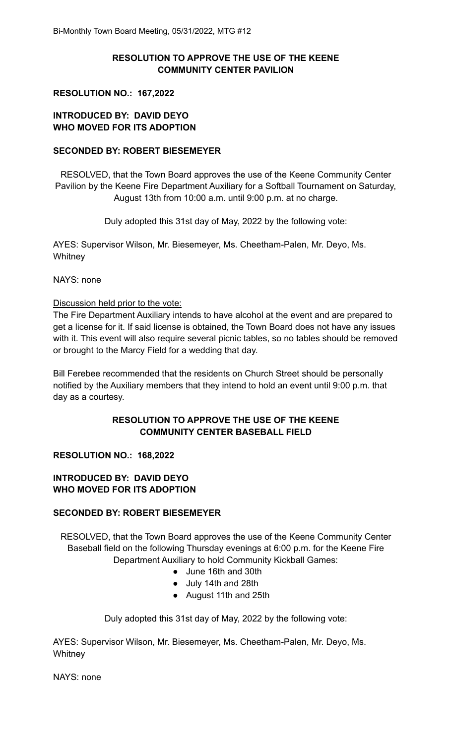# **RESOLUTION TO APPROVE THE USE OF THE KEENE COMMUNITY CENTER PAVILION**

#### **RESOLUTION NO.: 167,2022**

# **INTRODUCED BY: DAVID DEYO WHO MOVED FOR ITS ADOPTION**

### **SECONDED BY: ROBERT BIESEMEYER**

RESOLVED, that the Town Board approves the use of the Keene Community Center Pavilion by the Keene Fire Department Auxiliary for a Softball Tournament on Saturday, August 13th from 10:00 a.m. until 9:00 p.m. at no charge.

Duly adopted this 31st day of May, 2022 by the following vote:

AYES: Supervisor Wilson, Mr. Biesemeyer, Ms. Cheetham-Palen, Mr. Deyo, Ms. **Whitney** 

NAYS: none

#### Discussion held prior to the vote:

The Fire Department Auxiliary intends to have alcohol at the event and are prepared to get a license for it. If said license is obtained, the Town Board does not have any issues with it. This event will also require several picnic tables, so no tables should be removed or brought to the Marcy Field for a wedding that day.

Bill Ferebee recommended that the residents on Church Street should be personally notified by the Auxiliary members that they intend to hold an event until 9:00 p.m. that day as a courtesy.

### **RESOLUTION TO APPROVE THE USE OF THE KEENE COMMUNITY CENTER BASEBALL FIELD**

### **RESOLUTION NO.: 168,2022**

### **INTRODUCED BY: DAVID DEYO WHO MOVED FOR ITS ADOPTION**

### **SECONDED BY: ROBERT BIESEMEYER**

RESOLVED, that the Town Board approves the use of the Keene Community Center Baseball field on the following Thursday evenings at 6:00 p.m. for the Keene Fire Department Auxiliary to hold Community Kickball Games:

- June 16th and 30th
- July 14th and 28th
- August 11th and 25th

Duly adopted this 31st day of May, 2022 by the following vote:

AYES: Supervisor Wilson, Mr. Biesemeyer, Ms. Cheetham-Palen, Mr. Deyo, Ms. **Whitney** 

NAYS: none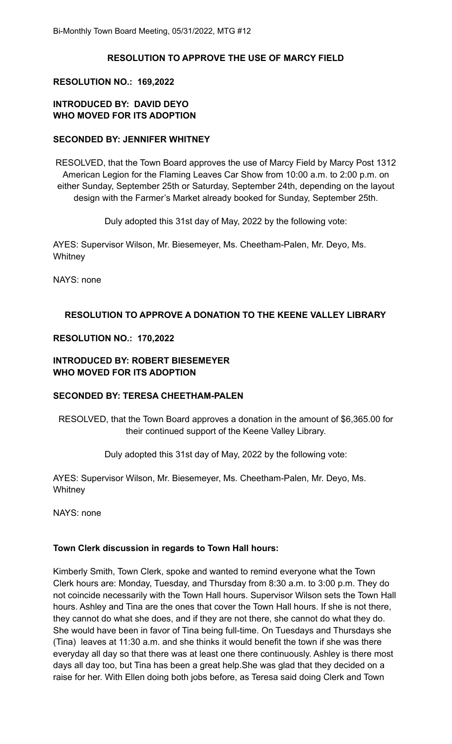# **RESOLUTION TO APPROVE THE USE OF MARCY FIELD**

### **RESOLUTION NO.: 169,2022**

# **INTRODUCED BY: DAVID DEYO WHO MOVED FOR ITS ADOPTION**

### **SECONDED BY: JENNIFER WHITNEY**

RESOLVED, that the Town Board approves the use of Marcy Field by Marcy Post 1312 American Legion for the Flaming Leaves Car Show from 10:00 a.m. to 2:00 p.m. on either Sunday, September 25th or Saturday, September 24th, depending on the layout design with the Farmer's Market already booked for Sunday, September 25th.

Duly adopted this 31st day of May, 2022 by the following vote:

AYES: Supervisor Wilson, Mr. Biesemeyer, Ms. Cheetham-Palen, Mr. Deyo, Ms. **Whitney** 

NAYS: none

# **RESOLUTION TO APPROVE A DONATION TO THE KEENE VALLEY LIBRARY**

### **RESOLUTION NO.: 170,2022**

# **INTRODUCED BY: ROBERT BIESEMEYER WHO MOVED FOR ITS ADOPTION**

# **SECONDED BY: TERESA CHEETHAM-PALEN**

RESOLVED, that the Town Board approves a donation in the amount of \$6,365.00 for their continued support of the Keene Valley Library.

Duly adopted this 31st day of May, 2022 by the following vote:

AYES: Supervisor Wilson, Mr. Biesemeyer, Ms. Cheetham-Palen, Mr. Deyo, Ms. **Whitney** 

NAYS: none

### **Town Clerk discussion in regards to Town Hall hours:**

Kimberly Smith, Town Clerk, spoke and wanted to remind everyone what the Town Clerk hours are: Monday, Tuesday, and Thursday from 8:30 a.m. to 3:00 p.m. They do not coincide necessarily with the Town Hall hours. Supervisor Wilson sets the Town Hall hours. Ashley and Tina are the ones that cover the Town Hall hours. If she is not there, they cannot do what she does, and if they are not there, she cannot do what they do. She would have been in favor of Tina being full-time. On Tuesdays and Thursdays she (Tina) leaves at 11:30 a.m. and she thinks it would benefit the town if she was there everyday all day so that there was at least one there continuously. Ashley is there most days all day too, but Tina has been a great help.She was glad that they decided on a raise for her. With Ellen doing both jobs before, as Teresa said doing Clerk and Town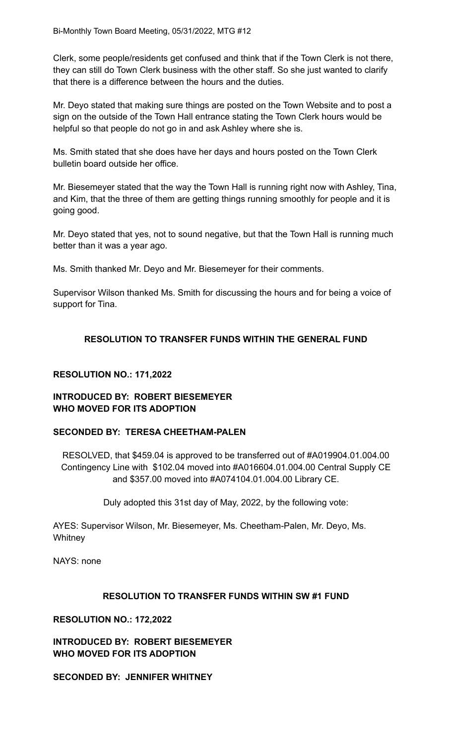Clerk, some people/residents get confused and think that if the Town Clerk is not there, they can still do Town Clerk business with the other staff. So she just wanted to clarify that there is a difference between the hours and the duties.

Mr. Deyo stated that making sure things are posted on the Town Website and to post a sign on the outside of the Town Hall entrance stating the Town Clerk hours would be helpful so that people do not go in and ask Ashley where she is.

Ms. Smith stated that she does have her days and hours posted on the Town Clerk bulletin board outside her office.

Mr. Biesemeyer stated that the way the Town Hall is running right now with Ashley, Tina, and Kim, that the three of them are getting things running smoothly for people and it is going good.

Mr. Deyo stated that yes, not to sound negative, but that the Town Hall is running much better than it was a year ago.

Ms. Smith thanked Mr. Deyo and Mr. Biesemeyer for their comments.

Supervisor Wilson thanked Ms. Smith for discussing the hours and for being a voice of support for Tina.

### **RESOLUTION TO TRANSFER FUNDS WITHIN THE GENERAL FUND**

### **RESOLUTION NO.: 171,2022**

### **INTRODUCED BY: ROBERT BIESEMEYER WHO MOVED FOR ITS ADOPTION**

### **SECONDED BY: TERESA CHEETHAM-PALEN**

RESOLVED, that \$459.04 is approved to be transferred out of #A019904.01.004.00 Contingency Line with \$102.04 moved into #A016604.01.004.00 Central Supply CE and \$357.00 moved into #A074104.01.004.00 Library CE.

Duly adopted this 31st day of May, 2022, by the following vote:

AYES: Supervisor Wilson, Mr. Biesemeyer, Ms. Cheetham-Palen, Mr. Deyo, Ms. **Whitney** 

NAYS: none

### **RESOLUTION TO TRANSFER FUNDS WITHIN SW #1 FUND**

#### **RESOLUTION NO.: 172,2022**

**INTRODUCED BY: ROBERT BIESEMEYER WHO MOVED FOR ITS ADOPTION**

**SECONDED BY: JENNIFER WHITNEY**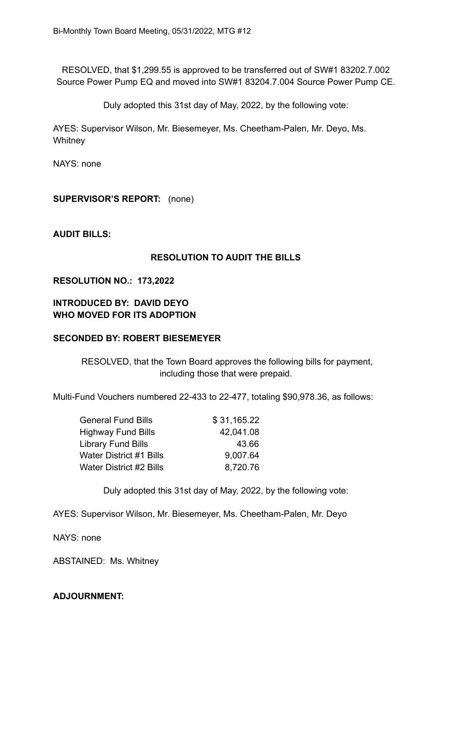RESOLVED, that \$1,299.55 is approved to be transferred out of SW#1 83202.7.002 Source Power Pump EQ and moved into SW#1 83204.7.004 Source Power Pump CE.

Duly adopted this 31st day of May, 2022, by the following vote:

AYES: Supervisor Wilson, Mr. Biesemeyer, Ms. Cheetham-Palen, Mr. Deyo, Ms. **Whitney** 

NAYS: none

**SUPERVISOR'S REPORT:** (none)

**AUDIT BILLS:**

#### **RESOLUTION TO AUDIT THE BILLS**

#### **RESOLUTION NO.: 173,2022**

# **INTRODUCED BY: DAVID DEYO WHO MOVED FOR ITS ADOPTION**

### **SECONDED BY: ROBERT BIESEMEYER**

RESOLVED, that the Town Board approves the following bills for payment, including those that were prepaid.

Multi-Fund Vouchers numbered 22-433 to 22-477, totaling \$90,978.36, as follows:

| <b>General Fund Bills</b> | \$31,165.22 |
|---------------------------|-------------|
| <b>Highway Fund Bills</b> | 42,041.08   |
| <b>Library Fund Bills</b> | 43.66       |
| Water District #1 Bills   | 9,007.64    |
| Water District #2 Bills   | 8,720.76    |

Duly adopted this 31st day of May, 2022, by the following vote:

AYES: Supervisor Wilson, Mr. Biesemeyer, Ms. Cheetham-Palen, Mr. Deyo

NAYS: none

ABSTAINED: Ms. Whitney

**ADJOURNMENT:**